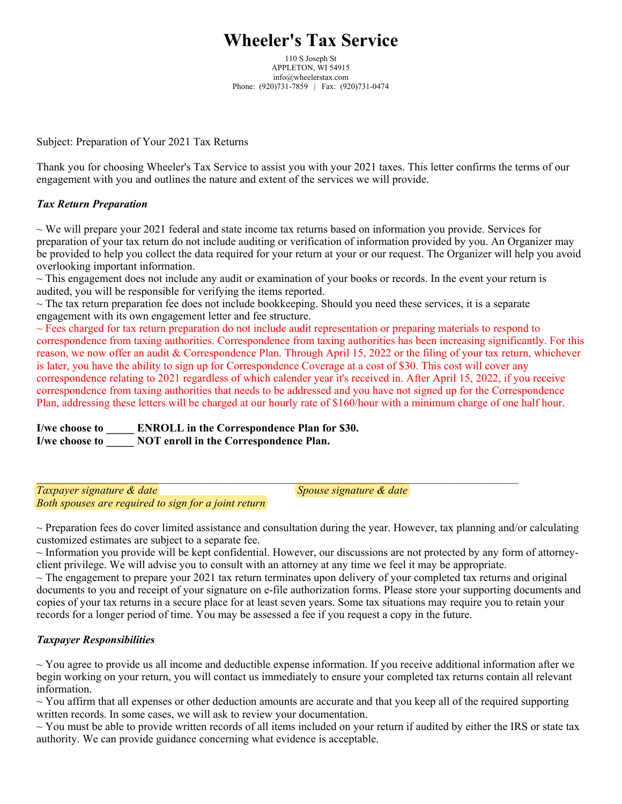## **Wheeler's Tax Service**

110 S Joseph St APPLETON, WI 54915 info@wheelerstax.com Phone: (920)731-7859 | Fax: (920)731-0474

Subject: Preparation of Your 2021 Tax Returns

Thank you for choosing Wheeler's Tax Service to assist you with your 2021 taxes. This letter confirms the terms of our engagement with you and outlines the nature and extent of the services we will provide.

## *Tax Return Preparation*

 $\sim$  We will prepare your 2021 federal and state income tax returns based on information you provide. Services for preparation of your tax return do not include auditing or verification of information provided by you. An Organizer may be provided to help you collect the data required for your return at your or our request. The Organizer will help you avoid overlooking important information.

 $\sim$  This engagement does not include any audit or examination of your books or records. In the event your return is audited, you will be responsible for verifying the items reported.

 $\sim$  The tax return preparation fee does not include bookkeeping. Should you need these services, it is a separate engagement with its own engagement letter and fee structure.

 $\_$  , and the state of the state of the state of the state of the state of the state of the state of the state of the state of the state of the state of the state of the state of the state of the state of the state of the

 $\sim$  Fees charged for tax return preparation do not include audit representation or preparing materials to respond to correspondence from taxing authorities. Correspondence from taxing authorities has been increasing significantly. For this reason, we now offer an audit & Correspondence Plan. Through April 15, 2022 or the filing of your tax return, whichever is later, you have the ability to sign up for Correspondence Coverage at a cost of \$30. This cost will cover any correspondence relating to 2021 regardless of which calender year it's received in. After April 15, 2022, if you receive correspondence from taxing authorities that needs to be addressed and you have not signed up for the Correspondence Plan, addressing these letters will be charged at our hourly rate of \$160/hour with a minimum charge of one half hour.

**I/we choose to \_\_\_\_\_ ENROLL in the Correspondence Plan for \$30. I/we choose to \_\_\_\_\_ NOT enroll in the Correspondence Plan.**

**Taxpayer signature & date**  $\alpha$  **state**  $\alpha$  **Spouse signature & date** *Both spouses are required to sign for a joint return*

 $\sim$  Preparation fees do cover limited assistance and consultation during the year. However, tax planning and/or calculating customized estimates are subject to a separate fee.

~ Information you provide will be kept confidential. However, our discussions are not protected by any form of attorneyclient privilege. We will advise you to consult with an attorney at any time we feel it may be appropriate.

 $\sim$  The engagement to prepare your 2021 tax return terminates upon delivery of your completed tax returns and original documents to you and receipt of your signature on e-file authorization forms. Please store your supporting documents and copies of your tax returns in a secure place for at least seven years. Some tax situations may require you to retain your records for a longer period of time. You may be assessed a fee if you request a copy in the future.

## *Taxpayer Responsibilities*

 $\sim$  You agree to provide us all income and deductible expense information. If you receive additional information after we begin working on your return, you will contact us immediately to ensure your completed tax returns contain all relevant information.

 $\sim$  You affirm that all expenses or other deduction amounts are accurate and that you keep all of the required supporting written records. In some cases, we will ask to review your documentation.

 $\sim$  You must be able to provide written records of all items included on your return if audited by either the IRS or state tax authority. We can provide guidance concerning what evidence is acceptable.